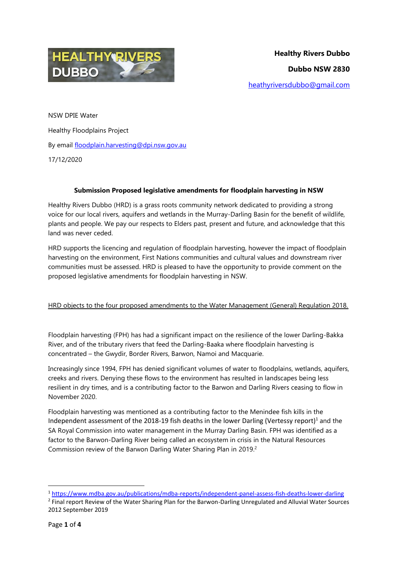

NSW DPIE Water Healthy Floodplains Project By email [floodplain.harvesting@dpi.nsw.gov.au](mailto:floodplain.harvesting@dpi.nsw.gov.au) 17/12/2020

### **Submission Proposed legislative amendments for floodplain harvesting in NSW**

Healthy Rivers Dubbo (HRD) is a grass roots community network dedicated to providing a strong voice for our local rivers, aquifers and wetlands in the Murray-Darling Basin for the benefit of wildlife, plants and people. We pay our respects to Elders past, present and future, and acknowledge that this land was never ceded.

HRD supports the licencing and regulation of floodplain harvesting, however the impact of floodplain harvesting on the environment, First Nations communities and cultural values and downstream river communities must be assessed. HRD is pleased to have the opportunity to provide comment on the proposed legislative amendments for floodplain harvesting in NSW.

## HRD objects to the four proposed amendments to the Water Management (General) Regulation 2018.

Floodplain harvesting (FPH) has had a significant impact on the resilience of the lower Darling-Bakka River, and of the tributary rivers that feed the Darling-Baaka where floodplain harvesting is concentrated – the Gwydir, Border Rivers, Barwon, Namoi and Macquarie.

Increasingly since 1994, FPH has denied significant volumes of water to floodplains, wetlands, aquifers, creeks and rivers. Denying these flows to the environment has resulted in landscapes being less resilient in dry times, and is a contributing factor to the Barwon and Darling Rivers ceasing to flow in November 2020.

Floodplain harvesting was mentioned as a contributing factor to the Menindee fish kills in the Independent assessment of the 2018-19 fish deaths in the lower Darling (Vertessy report)<sup>1</sup> and the SA Royal Commission into water management in the Murray Darling Basin. FPH was identified as a factor to the Barwon-Darling River being called an ecosystem in crisis in the Natural Resources Commission review of the Barwon Darling Water Sharing Plan in 2019.<sup>2</sup>

**.** 

<sup>1</sup> <https://www.mdba.gov.au/publications/mdba-reports/independent-panel-assess-fish-deaths-lower-darling>

<sup>&</sup>lt;sup>2</sup> Final report Review of the Water Sharing Plan for the Barwon-Darling Unregulated and Alluvial Water Sources 2012 September 2019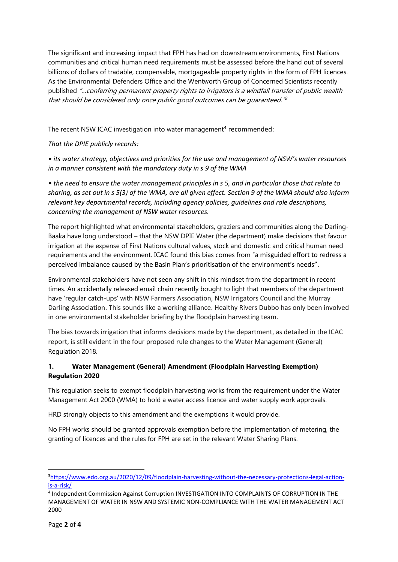The significant and increasing impact that FPH has had on downstream environments, First Nations communities and critical human need requirements must be assessed before the hand out of several billions of dollars of tradable, compensable, mortgageable property rights in the form of FPH licences. As the Environmental Defenders Office and the Wentworth Group of Concerned Scientists recently published "…conferring permanent property rights to irrigators is a windfall transfer of public wealth that should be considered only once public good outcomes can be guaranteed." 3

The recent NSW ICAC investigation into water management<sup>4</sup> recommended:

*That the DPIE publicly records:* 

*• its water strategy, objectives and priorities for the use and management of NSW's water resources in a manner consistent with the mandatory duty in s 9 of the WMA* 

*• the need to ensure the water management principles in s 5, and in particular those that relate to sharing, as set out in s 5(3) of the WMA, are all given effect. Section 9 of the WMA should also inform relevant key departmental records, including agency policies, guidelines and role descriptions, concerning the management of NSW water resources.*

The report highlighted what environmental stakeholders, graziers and communities along the Darling-Baaka have long understood – that the NSW DPIE Water (the department) make decisions that favour irrigation at the expense of First Nations cultural values, stock and domestic and critical human need requirements and the environment. ICAC found this bias comes from "a misguided effort to redress a perceived imbalance caused by the Basin Plan's prioritisation of the environment's needs".

Environmental stakeholders have not seen any shift in this mindset from the department in recent times. An accidentally released email chain recently bought to light that members of the department have 'regular catch-ups' with NSW Farmers Association, NSW Irrigators Council and the Murray Darling Association. This sounds like a working alliance. Healthy Rivers Dubbo has only been involved in one environmental stakeholder briefing by the floodplain harvesting team.

The bias towards irrigation that informs decisions made by the department, as detailed in the ICAC report, is still evident in the four proposed rule changes to the Water Management (General) Regulation 2018.

# **1. Water Management (General) Amendment (Floodplain Harvesting Exemption) Regulation 2020**

This regulation seeks to exempt floodplain harvesting works from the requirement under the Water Management Act 2000 (WMA) to hold a water access licence and water supply work approvals.

HRD strongly objects to this amendment and the exemptions it would provide.

No FPH works should be granted approvals exemption before the implementation of metering, the granting of licences and the rules for FPH are set in the relevant Water Sharing Plans.

 $\overline{a}$ 

<sup>3</sup>[https://www.edo.org.au/2020/12/09/floodplain-harvesting-without-the-necessary-protections-legal-action](https://www.edo.org.au/2020/12/09/floodplain-harvesting-without-the-necessary-protections-legal-action-is-a-risk/)[is-a-risk/](https://www.edo.org.au/2020/12/09/floodplain-harvesting-without-the-necessary-protections-legal-action-is-a-risk/)

<sup>4</sup> Independent Commission Against Corruption INVESTIGATION INTO COMPLAINTS OF CORRUPTION IN THE MANAGEMENT OF WATER IN NSW AND SYSTEMIC NON-COMPLIANCE WITH THE WATER MANAGEMENT ACT 2000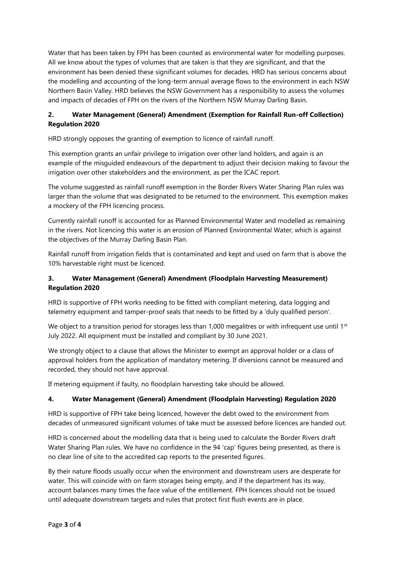Water that has been taken by FPH has been counted as environmental water for modelling purposes. All we know about the types of volumes that are taken is that they are significant, and that the environment has been denied these significant volumes for decades. HRD has serious concerns about the modelling and accounting of the long-term annual average flows to the environment in each NSW Northern Basin Valley. HRD believes the NSW Government has a responsibility to assess the volumes and impacts of decades of FPH on the rivers of the Northern NSW Murray Darling Basin.

# **2. Water Management (General) Amendment (Exemption for Rainfall Run-off Collection) Regulation 2020**

HRD strongly opposes the granting of exemption to licence of rainfall runoff.

This exemption grants an unfair privilege to irrigation over other land holders, and again is an example of the misguided endeavours of the department to adjust their decision making to favour the irrigation over other stakeholders and the environment, as per the ICAC report.

The volume suggested as rainfall runoff exemption in the Border Rivers Water Sharing Plan rules was larger than the volume that was designated to be returned to the environment. This exemption makes a mockery of the FPH licencing process.

Currently rainfall runoff is accounted for as Planned Environmental Water and modelled as remaining in the rivers. Not licencing this water is an erosion of Planned Environmental Water, which is against the objectives of the Murray Darling Basin Plan.

Rainfall runoff from irrigation fields that is contaminated and kept and used on farm that is above the 10% harvestable right must be licenced.

# **3. Water Management (General) Amendment (Floodplain Harvesting Measurement) Regulation 2020**

HRD is supportive of FPH works needing to be fitted with compliant metering, data logging and telemetry equipment and tamper-proof seals that needs to be fitted by a 'duly qualified person'.

We object to a transition period for storages less than 1,000 megalitres or with infrequent use until 1st July 2022. All equipment must be installed and compliant by 30 June 2021.

We strongly object to a clause that allows the Minister to exempt an approval holder or a class of approval holders from the application of mandatory metering. If diversions cannot be measured and recorded, they should not have approval.

If metering equipment if faulty, no floodplain harvesting take should be allowed.

## **4. Water Management (General) Amendment (Floodplain Harvesting) Regulation 2020**

HRD is supportive of FPH take being licenced, however the debt owed to the environment from decades of unmeasured significant volumes of take must be assessed before licences are handed out.

HRD is concerned about the modelling data that is being used to calculate the Border Rivers draft Water Sharing Plan rules. We have no confidence in the 94 'cap' figures being presented, as there is no clear line of site to the accredited cap reports to the presented figures.

By their nature floods usually occur when the environment and downstream users are desperate for water. This will coincide with on farm storages being empty, and if the department has its way, account balances many times the face value of the entitlement. FPH licences should not be issued until adequate downstream targets and rules that protect first flush events are in place.